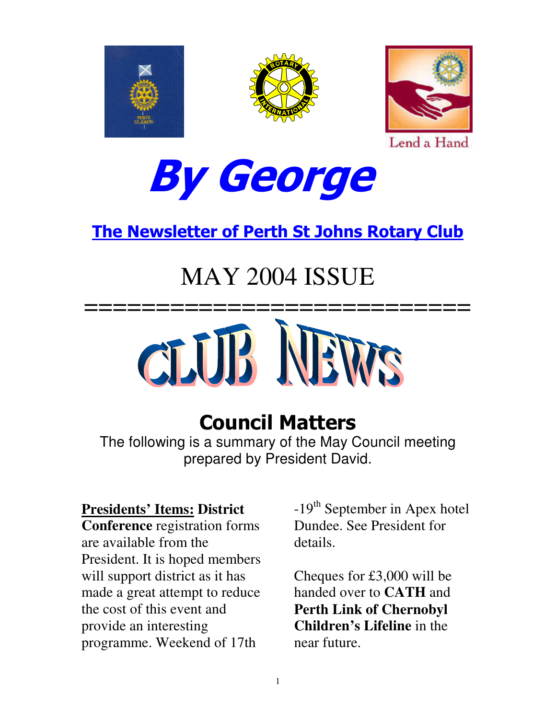





Lend a Hand



### <u>The Newsletter of Perth St Johns Rotary Club</u>

## MAY 2004 ISSUE



### **Council Matters**

The following is a summary of the May Council meeting prepared by President David.

#### **Presidents' Items: District**

**Conference** registration forms are available from the President. It is hoped members will support district as it has made a great attempt to reduce the cost of this event and provide an interesting programme. Weekend of 17th

-19<sup>th</sup> September in Apex hotel Dundee. See President for details.

Cheques for £3,000 will be handed over to **CATH** and **Perth Link of Chernobyl Children's Lifeline** in the near future.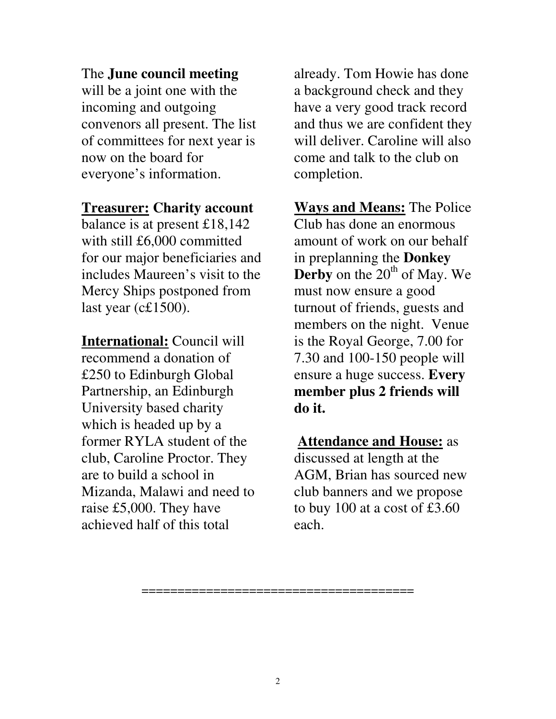#### The **June council meeting**

will be a joint one with the incoming and outgoing convenors all present. The list of committees for next year is now on the board for everyone's information.

#### **Treasurer: Charity account**

balance is at present £18,142 with still £6,000 committed for our major beneficiaries and includes Maureen's visit to the Mercy Ships postponed from last year (c£1500).

**International:** Council will recommend a donation of £250 to Edinburgh Global Partnership, an Edinburgh University based charity which is headed up by a former RYLA student of the club, Caroline Proctor. They are to build a school in Mizanda, Malawi and need to raise £5,000. They have achieved half of this total

already. Tom Howie has done a background check and they have a very good track record and thus we are confident they will deliver. Caroline will also come and talk to the club on completion.

**Ways and Means:** The Police Club has done an enormous amount of work on our behalf in preplanning the **Donkey** Derby on the 20<sup>th</sup> of May. We must now ensure a good turnout of friends, guests and members on the night. Venue is the Royal George, 7.00 for 7.30 and 100-150 people will ensure a huge success. **Every member plus 2 friends will do it.**

**Attendance and House:** as discussed at length at the AGM, Brian has sourced new club banners and we propose to buy 100 at a cost of £3.60 each.

======================================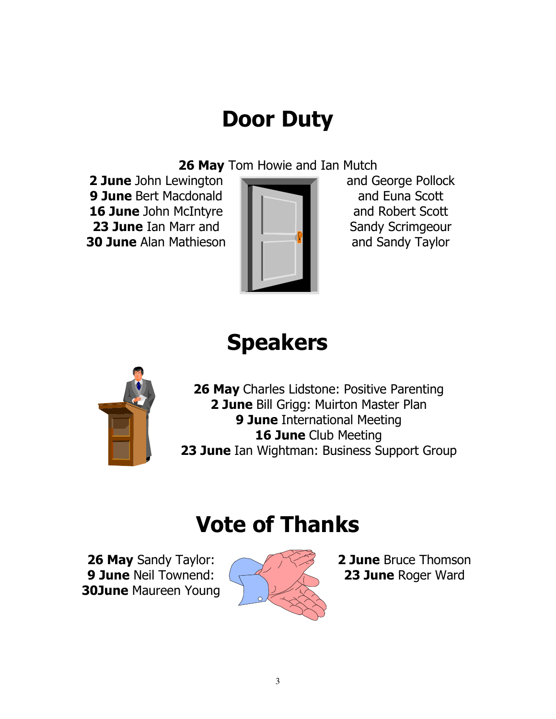## **Door Duty**

26 May Tom Howie and Ian Mutch

2 June John Lewington **9 June Bert Macdonald** 16 June John McIntyre 23 June Ian Marr and **30 June Alan Mathieson** 



and George Pollock and Euna Scott and Robert Scott **Sandy Scrimgeour** and Sandy Taylor

# **Speakers**



26 May Charles Lidstone: Positive Parenting 2 June Bill Grigg: Muirton Master Plan **9 June International Meeting** 16 June Club Meeting 23 June Ian Wightman: Business Support Group

# **Vote of Thanks**

26 May Sandy Taylor: **9 June Neil Townend: 30June Maureen Young** 



2 June Bruce Thomson 23 June Roger Ward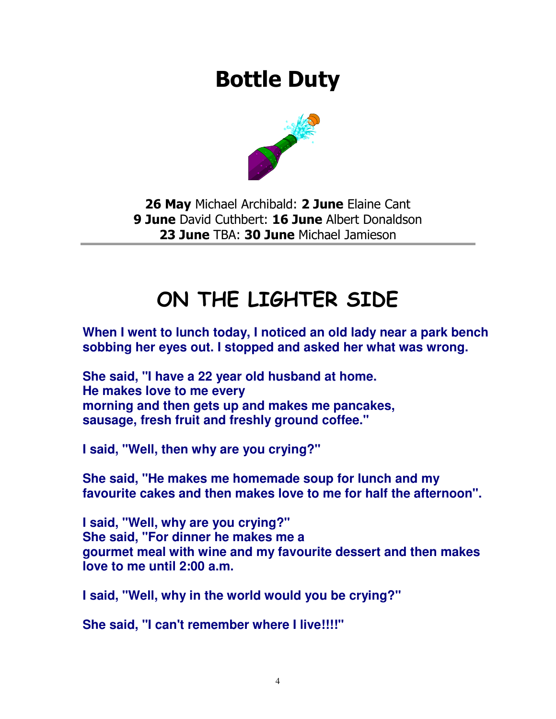## **Bottle Duty**



26 May Michael Archibald: 2 June Elaine Cant **9 June** David Cuthbert: 16 June Albert Donaldson 23 June TBA: 30 June Michael Jamieson

### ON THE LIGHTER SIDE

**When I went to lunch today, I noticed an old lady near a park bench sobbing her eyes out. I stopped and asked her what was wrong.**

**She said, "I have a 22 year old husband at home. He makes love to me every morning and then gets up and makes me pancakes, sausage, fresh fruit and freshly ground coffee."**

**I said, "Well, then why are you crying?"**

**She said, "He makes me homemade soup for lunch and my favourite cakes and then makes love to me for half the afternoon".**

**I said, "Well, why are you crying?" She said, "For dinner he makes me a gourmet meal with wine and my favourite dessert and then makes love to me until 2:00 a.m.**

**I said, "Well, why in the world would you be crying?"**

**She said, "I can't remember where I live!!!!"**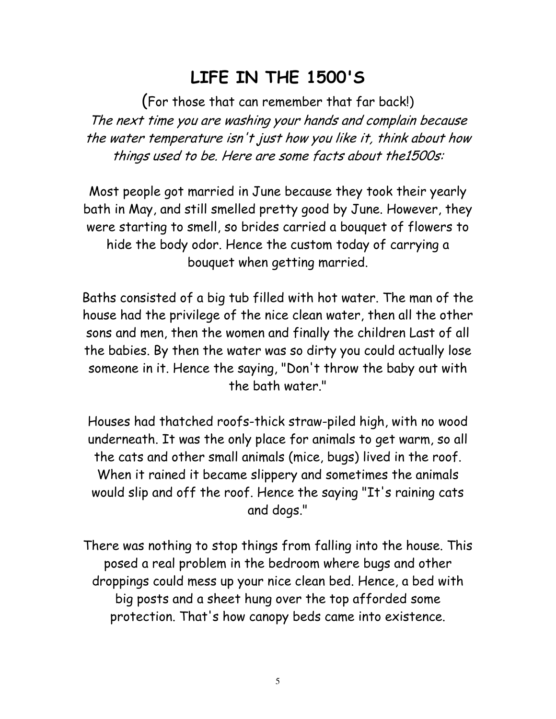### LIFE IN THE 1500'S

(For those that can remember that far back!) The next time you are washing your hands and complain because the water temperature isn't just how you like it, think about how things used to be. Here are some facts about the1500s:

Most people got married in June because they took their yearly bath in May, and still smelled pretty good by June. However, they were starting to smell, so brides carried a bouquet of flowers to hide the body odor. Hence the custom today of carrying a bouquet when getting married.

Baths consisted of a big tub filled with hot water. The man of the house had the privilege of the nice clean water, then all the other sons and men, then the women and finally the children Last of all the babies. By then the water was so dirty you could actually lose someone in it. Hence the saying, "Don't throw the baby out with the bath water"

Houses had thatched roofs-thick straw-piled high, with no wood underneath. It was the only place for animals to get warm, so all the cats and other small animals (mice, bugs) lived in the roof. When it rained it became slippery and sometimes the animals would slip and off the roof. Hence the saying "It's raining cats and dogs."

There was nothing to stop things from falling into the house. This posed a real problem in the bedroom where bugs and other droppings could mess up your nice clean bed. Hence, a bed with big posts and a sheet hung over the top afforded some protection. That's how canopy beds came into existence.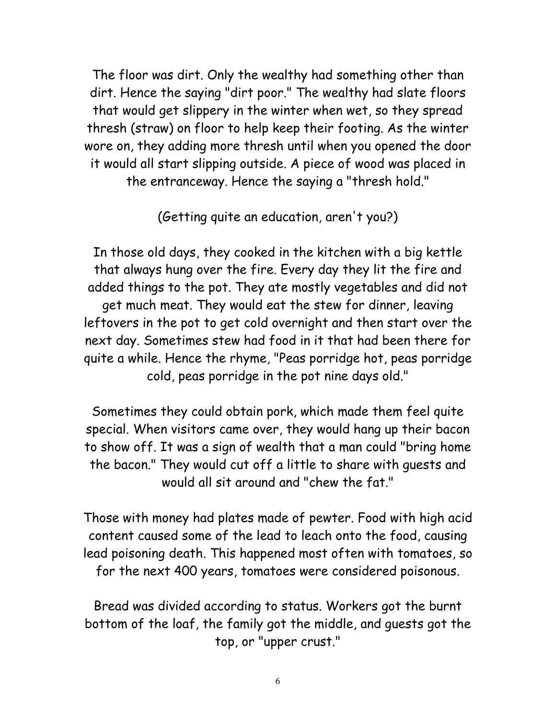The floor was dirt. Only the wealthy had something other than dirt. Hence the saying "dirt poor." The wealthy had slate floors that would get slippery in the winter when wet, so they spread thresh (straw) on floor to help keep their footing. As the winter wore on, they adding more thresh until when you opened the door it would all start slipping outside. A piece of wood was placed in the entranceway. Hence the saying a "thresh hold."

(Getting quite an education, aren't you?)

In those old days, they cooked in the kitchen with a big kettle that always hung over the fire. Every day they lit the fire and added things to the pot. They ate mostly vegetables and did not get much meat. They would eat the stew for dinner, leaving leftovers in the pot to get cold overnight and then start over the next day. Sometimes stew had food in it that had been there for quite a while. Hence the rhyme, "Peas porridge hot, peas porridge cold, peas porridge in the pot nine days old."

Sometimes they could obtain pork, which made them feel quite special. When visitors came over, they would hang up their bacon to show off. It was a sign of wealth that a man could "bring home the bacon." They would cut off a little to share with quests and would all sit around and "chew the fat."

Those with money had plates made of pewter. Food with high acid content caused some of the lead to leach onto the food, causing lead poisoning death. This happened most often with tomatoes, so for the next 400 years, tomatoes were considered poisonous.

Bread was divided according to status. Workers got the burnt bottom of the loaf, the family got the middle, and quests got the top, or "upper crust."